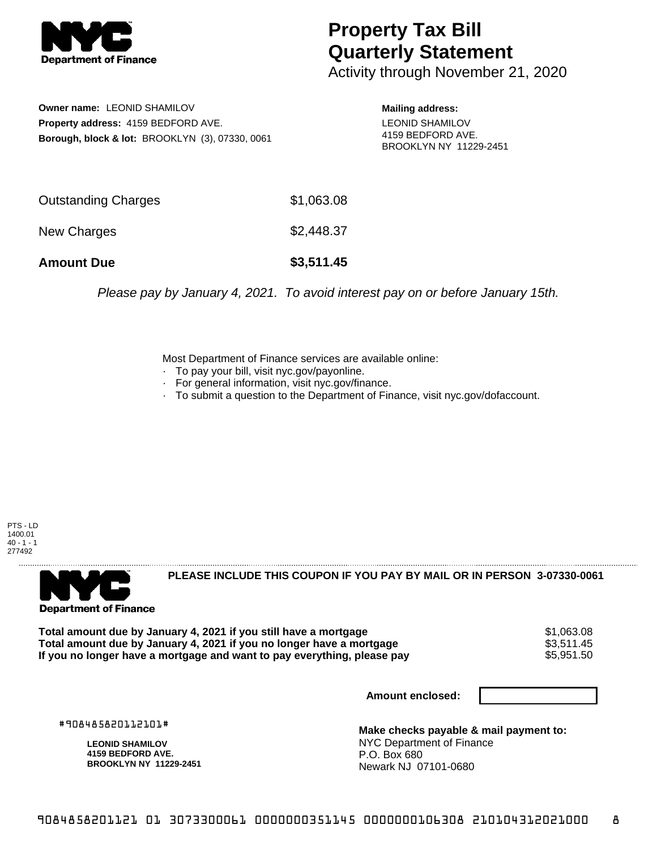

## **Property Tax Bill Quarterly Statement**

Activity through November 21, 2020

**Owner name:** LEONID SHAMILOV **Property address:** 4159 BEDFORD AVE. **Borough, block & lot:** BROOKLYN (3), 07330, 0061

**Mailing address:** LEONID SHAMILOV 4159 BEDFORD AVE. BROOKLYN NY 11229-2451

| <b>Amount Due</b>   | \$3,511.45 |
|---------------------|------------|
| New Charges         | \$2,448.37 |
| Outstanding Charges | \$1,063.08 |

Please pay by January 4, 2021. To avoid interest pay on or before January 15th.

Most Department of Finance services are available online:

- · To pay your bill, visit nyc.gov/payonline.
- For general information, visit nyc.gov/finance.
- · To submit a question to the Department of Finance, visit nyc.gov/dofaccount.

PTS - LD 1400.01  $40 - 1 - 1$ 277492



**PLEASE INCLUDE THIS COUPON IF YOU PAY BY MAIL OR IN PERSON 3-07330-0061** 

**Total amount due by January 4, 2021 if you still have a mortgage**  $$1,063.08$ **Total amount due by January 4, 2021 if you no longer have a mortgage**  $$3,511.45$ **<br>If you no longer have a mortgage and want to pay everything, please pay <b>show that the summan show that the s**5.951.50 If you no longer have a mortgage and want to pay everything, please pay

**Amount enclosed:**

#908485820112101#

**LEONID SHAMILOV 4159 BEDFORD AVE. BROOKLYN NY 11229-2451**

**Make checks payable & mail payment to:** NYC Department of Finance P.O. Box 680 Newark NJ 07101-0680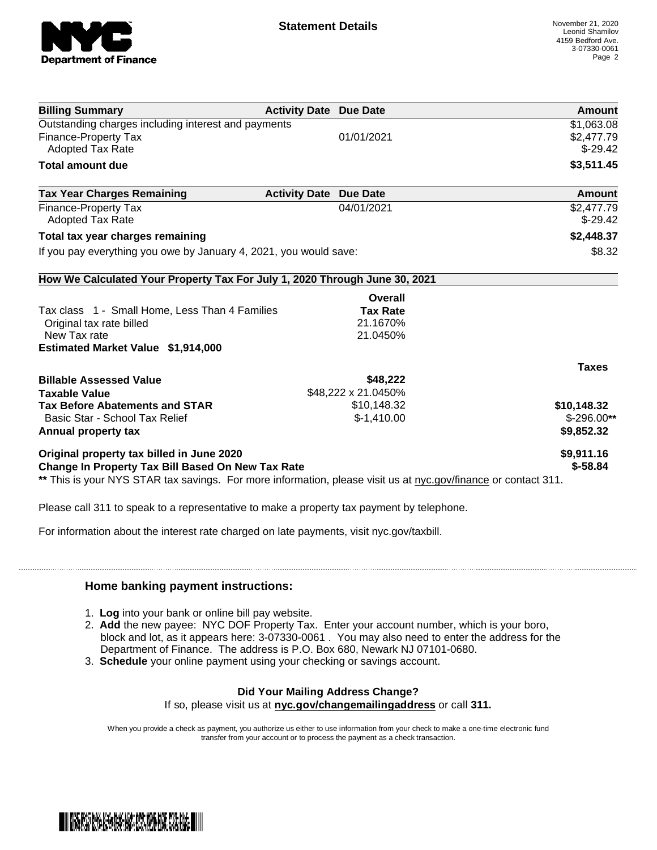

| \$1,063.08<br>\$2,477.79<br>$$-29.42$<br>\$3,511.45<br>Amount<br>\$2,477.79<br>$$-29.42$<br>\$2,448.37<br>\$8.32 |
|------------------------------------------------------------------------------------------------------------------|
|                                                                                                                  |
|                                                                                                                  |
|                                                                                                                  |
|                                                                                                                  |
|                                                                                                                  |
|                                                                                                                  |
|                                                                                                                  |
|                                                                                                                  |
|                                                                                                                  |
|                                                                                                                  |
|                                                                                                                  |
|                                                                                                                  |
|                                                                                                                  |
|                                                                                                                  |
|                                                                                                                  |
| <b>Taxes</b>                                                                                                     |
|                                                                                                                  |
|                                                                                                                  |
| \$10,148.32                                                                                                      |
| $$-296.00**$                                                                                                     |
| \$9,852.32                                                                                                       |
| \$9,911.16                                                                                                       |
| $$ -58.84$                                                                                                       |
|                                                                                                                  |

Please call 311 to speak to a representative to make a property tax payment by telephone.

For information about the interest rate charged on late payments, visit nyc.gov/taxbill.

## **Home banking payment instructions:**

- 1. **Log** into your bank or online bill pay website.
- 2. **Add** the new payee: NYC DOF Property Tax. Enter your account number, which is your boro, block and lot, as it appears here: 3-07330-0061 . You may also need to enter the address for the Department of Finance. The address is P.O. Box 680, Newark NJ 07101-0680.
- 3. **Schedule** your online payment using your checking or savings account.

## **Did Your Mailing Address Change?**

If so, please visit us at **nyc.gov/changemailingaddress** or call **311.**

When you provide a check as payment, you authorize us either to use information from your check to make a one-time electronic fund transfer from your account or to process the payment as a check transaction.